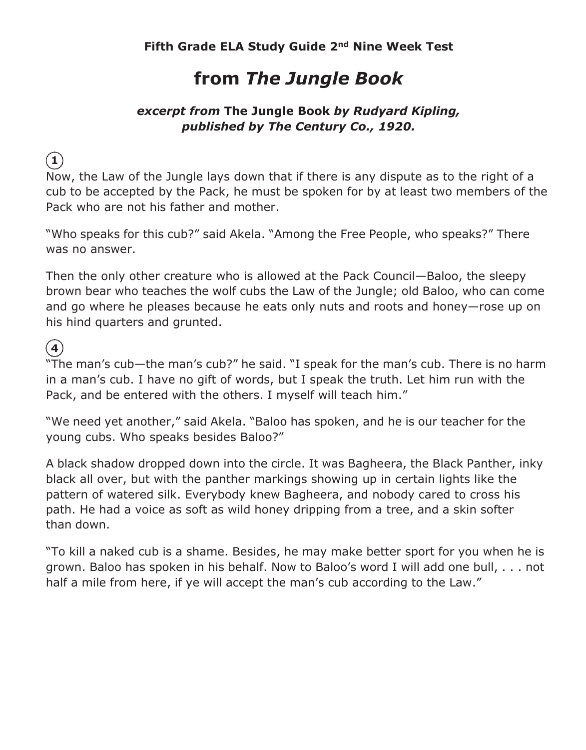## **from** *The Jungle Book*

#### *excerpt from* **The Jungle Book** *by Rudyard Kipling, published by The Century Co., 1920.*

**1**

Now, the Law of the Jungle lays down that if there is any dispute as to the right of a cub to be accepted by the Pack, he must be spoken for by at least two members of the Pack who are not his father and mother.

"Who speaks for this cub?" said Akela. "Among the Free People, who speaks?" There was no answer.

Then the only other creature who is allowed at the Pack Council—Baloo, the sleepy brown bear who teaches the wolf cubs the Law of the Jungle; old Baloo, who can come and go where he pleases because he eats only nuts and roots and honey—rose up on his hind quarters and grunted.

**4**

"The man's cub—the man's cub?" he said. "I speak for the man's cub. There is no harm in a man's cub. I have no gift of words, but I speak the truth. Let him run with the Pack, and be entered with the others. I myself will teach him."

"We need yet another," said Akela. "Baloo has spoken, and he is our teacher for the young cubs. Who speaks besides Baloo?"

A black shadow dropped down into the circle. It was Bagheera, the Black Panther, inky black all over, but with the panther markings showing up in certain lights like the pattern of watered silk. Everybody knew Bagheera, and nobody cared to cross his path. He had a voice as soft as wild honey dripping from a tree, and a skin softer than down.

"To kill a naked cub is a shame. Besides, he may make better sport for you when he is grown. Baloo has spoken in his behalf. Now to Baloo's word I will add one bull, . . . not half a mile from here, if ye will accept the man's cub according to the Law."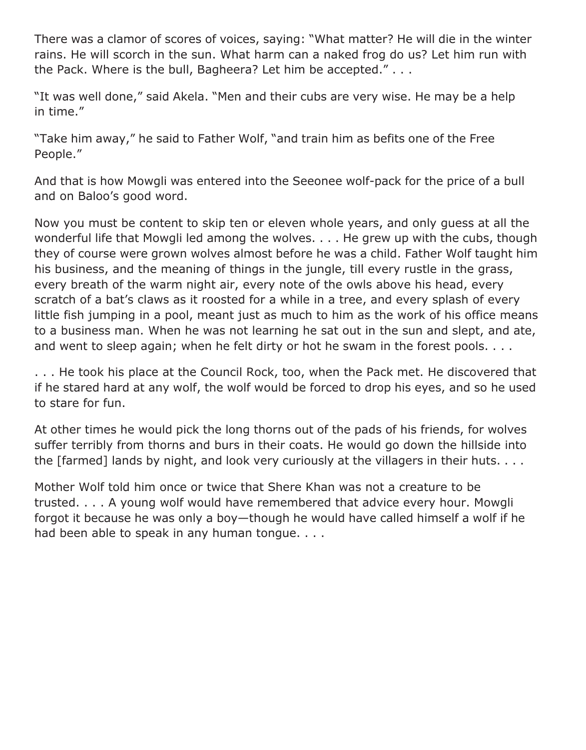There was a clamor of scores of voices, saying: "What matter? He will die in the winter rains. He will scorch in the sun. What harm can a naked frog do us? Let him run with the Pack. Where is the bull, Bagheera? Let him be accepted." . . .

"It was well done," said Akela. "Men and their cubs are very wise. He may be a help in time."

"Take him away," he said to Father Wolf, "and train him as befits one of the Free People."

And that is how Mowgli was entered into the Seeonee wolf-pack for the price of a bull and on Baloo's good word.

Now you must be content to skip ten or eleven whole years, and only guess at all the wonderful life that Mowgli led among the wolves. . . . He grew up with the cubs, though they of course were grown wolves almost before he was a child. Father Wolf taught him his business, and the meaning of things in the jungle, till every rustle in the grass, every breath of the warm night air, every note of the owls above his head, every scratch of a bat's claws as it roosted for a while in a tree, and every splash of every little fish jumping in a pool, meant just as much to him as the work of his office means to a business man. When he was not learning he sat out in the sun and slept, and ate, and went to sleep again; when he felt dirty or hot he swam in the forest pools. . . .

. . . He took his place at the Council Rock, too, when the Pack met. He discovered that if he stared hard at any wolf, the wolf would be forced to drop his eyes, and so he used to stare for fun.

At other times he would pick the long thorns out of the pads of his friends, for wolves suffer terribly from thorns and burs in their coats. He would go down the hillside into the [farmed] lands by night, and look very curiously at the villagers in their huts. . . .

Mother Wolf told him once or twice that Shere Khan was not a creature to be trusted. . . . A young wolf would have remembered that advice every hour. Mowgli forgot it because he was only a boy—though he would have called himself a wolf if he had been able to speak in any human tongue. . . .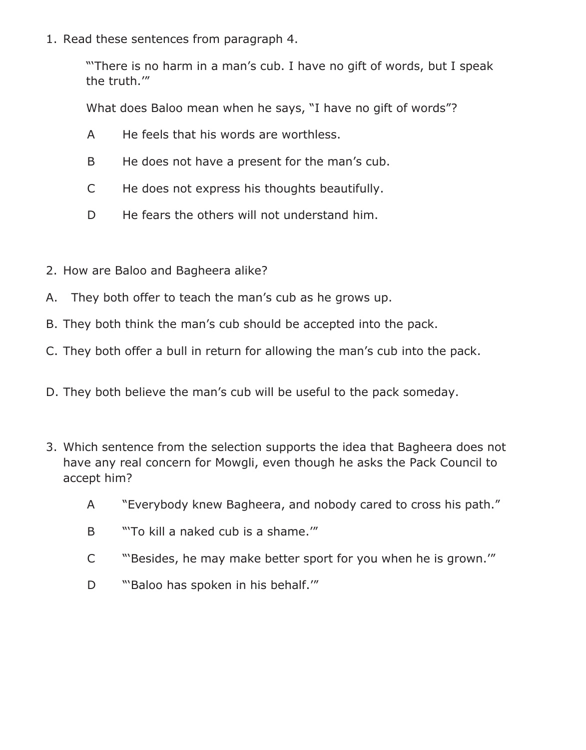1. Read these sentences from paragraph 4.

"'There is no harm in a man's cub. I have no gift of words, but I speak the truth.'"

What does Baloo mean when he says, "I have no gift of words"?

- A He feels that his words are worthless.
- B He does not have a present for the man's cub.
- C He does not express his thoughts beautifully.
- D He fears the others will not understand him.
- 2. How are Baloo and Bagheera alike?
- A. They both offer to teach the man's cub as he grows up.
- B. They both think the man's cub should be accepted into the pack.
- C. They both offer a bull in return for allowing the man's cub into the pack.
- D. They both believe the man's cub will be useful to the pack someday.
- 3. Which sentence from the selection supports the idea that Bagheera does not have any real concern for Mowgli, even though he asks the Pack Council to accept him?
	- A "Everybody knew Bagheera, and nobody cared to cross his path."
	- B "To kill a naked cub is a shame."
	- C "'Besides, he may make better sport for you when he is grown.'"
	- D "Baloo has spoken in his behalf."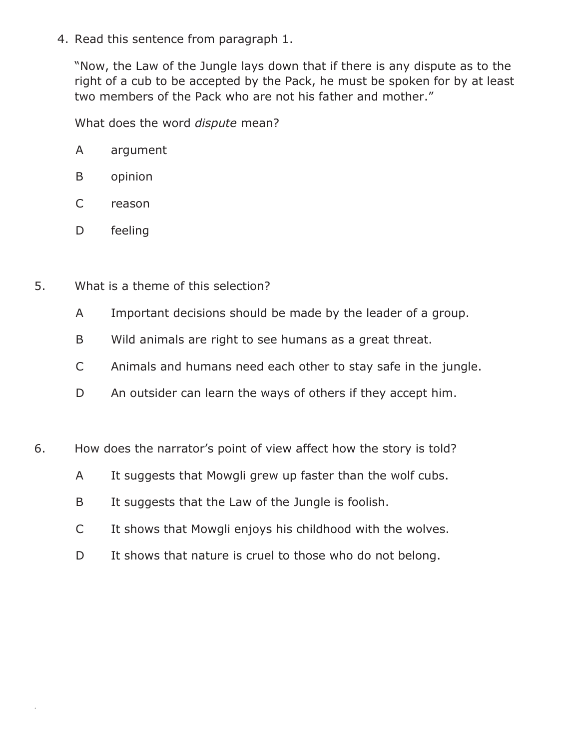4. Read this sentence from paragraph 1.

"Now, the Law of the Jungle lays down that if there is any dispute as to the right of a cub to be accepted by the Pack, he must be spoken for by at least two members of the Pack who are not his father and mother."

What does the word *dispute* mean?

- B opinion
- C reason
- D feeling

.

- 5. What is a theme of this selection?
	- A Important decisions should be made by the leader of a group.
	- B Wild animals are right to see humans as a great threat.
	- C Animals and humans need each other to stay safe in the jungle.
	- D An outsider can learn the ways of others if they accept him.
- 6. How does the narrator's point of view affect how the story is told?
	- A It suggests that Mowgli grew up faster than the wolf cubs.
	- B It suggests that the Law of the Jungle is foolish.
	- C It shows that Mowgli enjoys his childhood with the wolves.
	- D It shows that nature is cruel to those who do not belong.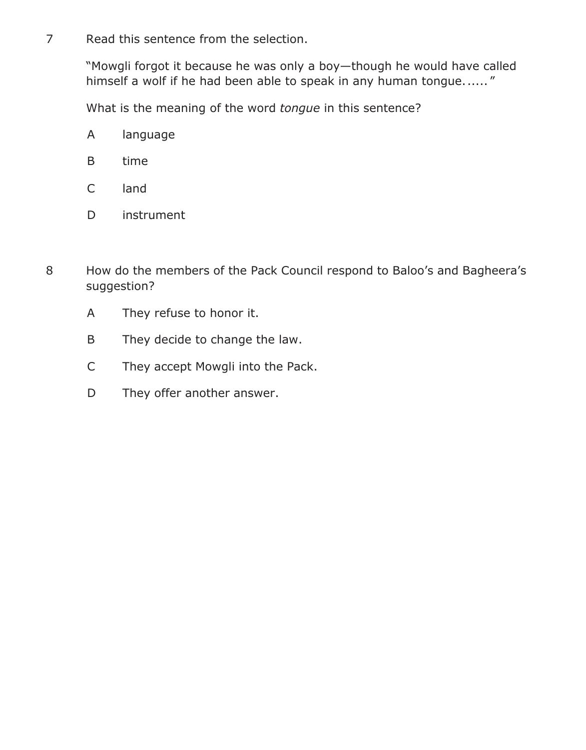7 Read this sentence from the selection.

"Mowgli forgot it because he was only a boy—though he would have called himself a wolf if he had been able to speak in any human tongue......"

What is the meaning of the word *tongue* in this sentence?

- A language
- B time
- C land
- D instrument
- 8 How do the members of the Pack Council respond to Baloo's and Bagheera's suggestion?
	- A They refuse to honor it.
	- B They decide to change the law.
	- C They accept Mowgli into the Pack.
	- D They offer another answer.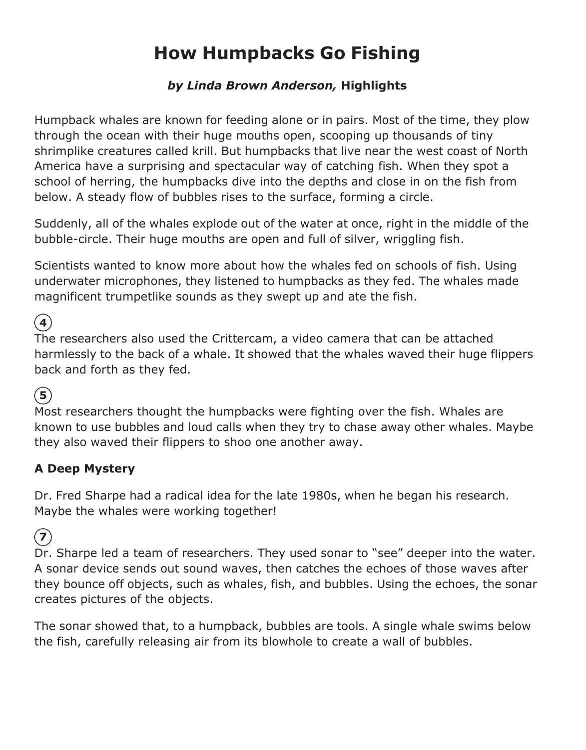# **How Humpbacks Go Fishing**

#### *by Linda Brown Anderson,* **Highlights**

Humpback whales are known for feeding alone or in pairs. Most of the time, they plow through the ocean with their huge mouths open, scooping up thousands of tiny shrimplike creatures called krill. But humpbacks that live near the west coast of North America have a surprising and spectacular way of catching fish. When they spot a school of herring, the humpbacks dive into the depths and close in on the fish from below. A steady flow of bubbles rises to the surface, forming a circle.

Suddenly, all of the whales explode out of the water at once, right in the middle of the bubble-circle. Their huge mouths are open and full of silver, wriggling fish.

Scientists wanted to know more about how the whales fed on schools of fish. Using underwater microphones, they listened to humpbacks as they fed. The whales made magnificent trumpetlike sounds as they swept up and ate the fish.

**4**

The researchers also used the Crittercam, a video camera that can be attached harmlessly to the back of a whale. It showed that the whales waved their huge flippers back and forth as they fed.

### **5**

Most researchers thought the humpbacks were fighting over the fish. Whales are known to use bubbles and loud calls when they try to chase away other whales. Maybe they also waved their flippers to shoo one another away.

#### **A Deep Mystery**

Dr. Fred Sharpe had a radical idea for the late 1980s, when he began his research. Maybe the whales were working together!

**7**

Dr. Sharpe led a team of researchers. They used sonar to "see" deeper into the water. A sonar device sends out sound waves, then catches the echoes of those waves after they bounce off objects, such as whales, fish, and bubbles. Using the echoes, the sonar creates pictures of the objects.

The sonar showed that, to a humpback, bubbles are tools. A single whale swims below the fish, carefully releasing air from its blowhole to create a wall of bubbles.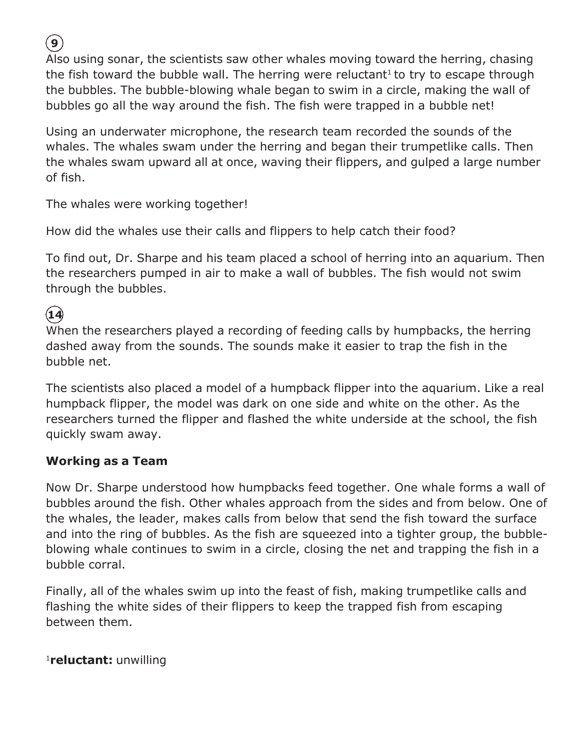**9**

Also using sonar, the scientists saw other whales moving toward the herring, chasing the fish toward the bubble wall. The herring were reluctant<sup>1</sup> to try to escape through the bubbles. The bubble-blowing whale began to swim in a circle, making the wall of bubbles go all the way around the fish. The fish were trapped in a bubble net!

Using an underwater microphone, the research team recorded the sounds of the whales. The whales swam under the herring and began their trumpetlike calls. Then the whales swam upward all at once, waving their flippers, and gulped a large number of fish.

The whales were working together!

How did the whales use their calls and flippers to help catch their food?

To find out, Dr. Sharpe and his team placed a school of herring into an aquarium. Then the researchers pumped in air to make a wall of bubbles. The fish would not swim through the bubbles.

**14**

When the researchers played a recording of feeding calls by humpbacks, the herring dashed away from the sounds. The sounds make it easier to trap the fish in the bubble net.

The scientists also placed a model of a humpback flipper into the aquarium. Like a real humpback flipper, the model was dark on one side and white on the other. As the researchers turned the flipper and flashed the white underside at the school, the fish quickly swam away.

#### **Working as a Team**

Now Dr. Sharpe understood how humpbacks feed together. One whale forms a wall of bubbles around the fish. Other whales approach from the sides and from below. One of the whales, the leader, makes calls from below that send the fish toward the surface and into the ring of bubbles. As the fish are squeezed into a tighter group, the bubbleblowing whale continues to swim in a circle, closing the net and trapping the fish in a bubble corral.

Finally, all of the whales swim up into the feast of fish, making trumpetlike calls and flashing the white sides of their flippers to keep the trapped fish from escaping between them.

<sup>1</sup>**reluctant:** unwilling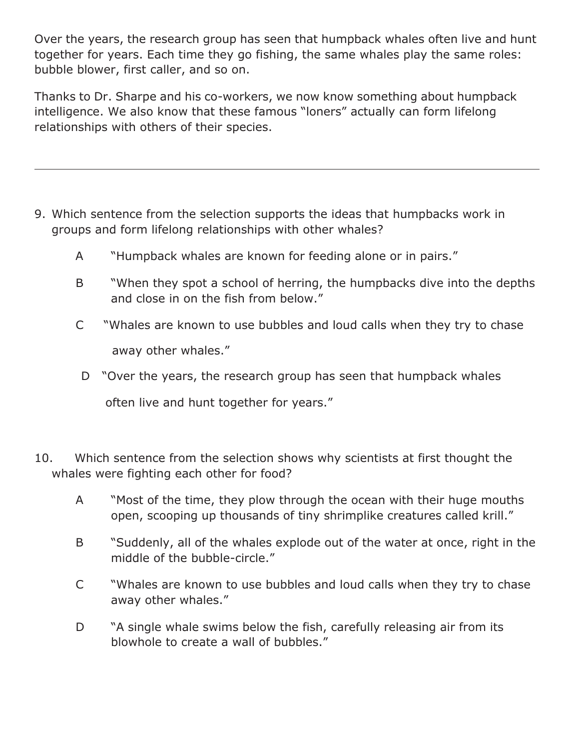Over the years, the research group has seen that humpback whales often live and hunt together for years. Each time they go fishing, the same whales play the same roles: bubble blower, first caller, and so on.

Thanks to Dr. Sharpe and his co-workers, we now know something about humpback intelligence. We also know that these famous "loners" actually can form lifelong relationships with others of their species.

- 9. Which sentence from the selection supports the ideas that humpbacks work in groups and form lifelong relationships with other whales?
	- A "Humpback whales are known for feeding alone or in pairs."
	- B "When they spot a school of herring, the humpbacks dive into the depths and close in on the fish from below."
	- C "Whales are known to use bubbles and loud calls when they try to chase away other whales."
	- D "Over the years, the research group has seen that humpback whales often live and hunt together for years."
- 10. Which sentence from the selection shows why scientists at first thought the whales were fighting each other for food?
	- A "Most of the time, they plow through the ocean with their huge mouths open, scooping up thousands of tiny shrimplike creatures called krill."
	- B "Suddenly, all of the whales explode out of the water at once, right in the middle of the bubble-circle."
	- C "Whales are known to use bubbles and loud calls when they try to chase away other whales."
	- D <sup>"</sup>A single whale swims below the fish, carefully releasing air from its blowhole to create a wall of bubbles."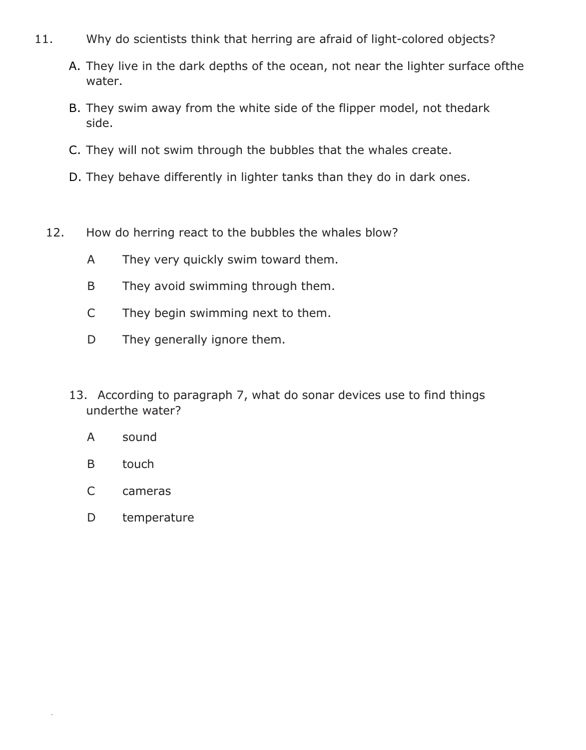- 11. Why do scientists think that herring are afraid of light-colored objects?
	- A. They live in the dark depths of the ocean, not near the lighter surface ofthe water.
	- B. They swim away from the white side of the flipper model, not thedark side.
	- C. They will not swim through the bubbles that the whales create.
	- D. They behave differently in lighter tanks than they do in dark ones.
	- 12. How do herring react to the bubbles the whales blow?
		- A They very quickly swim toward them.
		- B They avoid swimming through them.
		- C They begin swimming next to them.
		- D They generally ignore them.
		- 13. According to paragraph 7, what do sonar devices use to find things underthe water?
			- A sound
			- B touch

.

- C cameras
- D temperature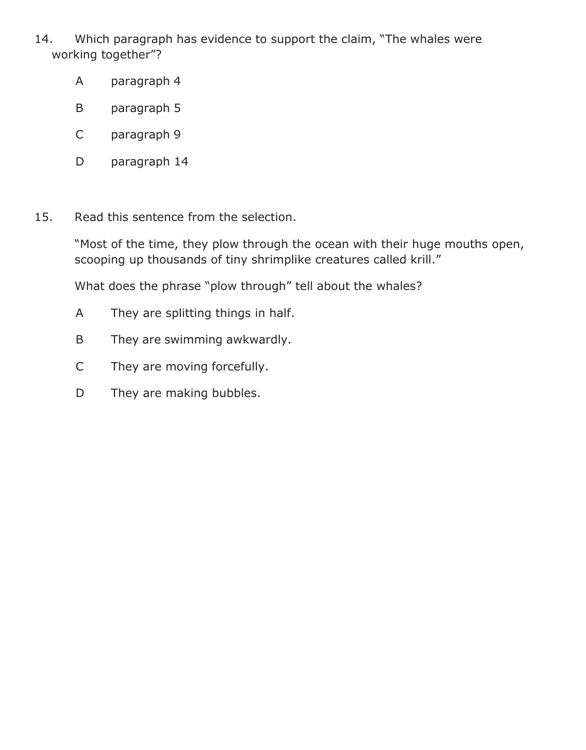- 14. Which paragraph has evidence to support the claim, "The whales were working together"?
	- A paragraph 4
	- B paragraph 5
	- C paragraph 9
	- D paragraph 14
- 15. Read this sentence from the selection.

"Most of the time, they plow through the ocean with their huge mouths open, scooping up thousands of tiny shrimplike creatures called krill."

What does the phrase "plow through" tell about the whales?

- A They are splitting things in half.
- B They are swimming awkwardly.
- C They are moving forcefully.
- D They are making bubbles.